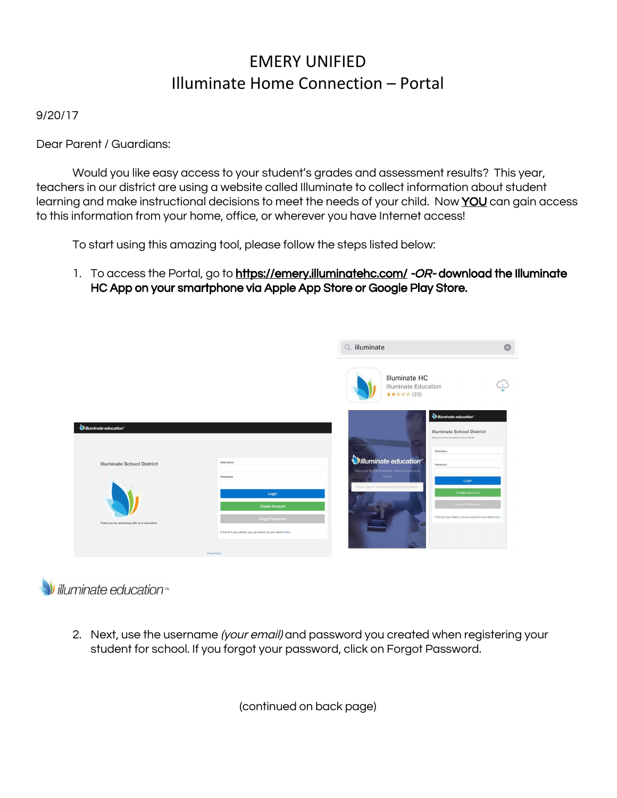## EMERY UNIFIED Illuminate Home Connection – Portal

9/20/17

Dear Parent / Guardians:

Would you like easy access to your student's grades and assessment results? This year, teachers in our district are using a website called Illuminate to collect information about student learning and make instructional decisions to meet the needs of your child. Now YOU can gain access to this information from your home, office, or wherever you have Internet access!

To start using this amazing tool, please follow the steps listed below:

1. To access the Portal, go to <https://emery.illuminatehc.com/> -OR- download the Illuminate HC App on your smartphone via Apple App Store or Google Play Store.



 $V$  illuminate education

2. Next, use the username (your email) and password you created when registering your student for school. If you forgot your password, click on Forgot Password.

(continued on back page)